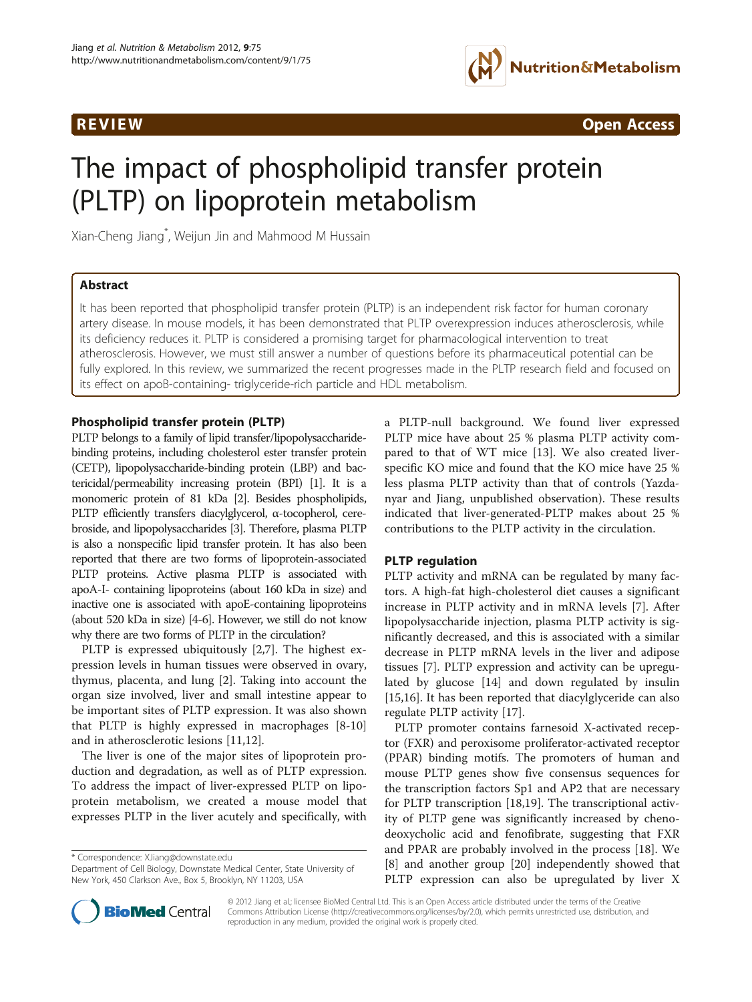

**REVIEW CONSTRUCTION CONSTRUCTION CONSTRUCTS** 

# The impact of phospholipid transfer protein (PLTP) on lipoprotein metabolism

Xian-Cheng Jiang\* , Weijun Jin and Mahmood M Hussain

# Abstract

It has been reported that phospholipid transfer protein (PLTP) is an independent risk factor for human coronary artery disease. In mouse models, it has been demonstrated that PLTP overexpression induces atherosclerosis, while its deficiency reduces it. PLTP is considered a promising target for pharmacological intervention to treat atherosclerosis. However, we must still answer a number of questions before its pharmaceutical potential can be fully explored. In this review, we summarized the recent progresses made in the PLTP research field and focused on its effect on apoB-containing- triglyceride-rich particle and HDL metabolism.

### Phospholipid transfer protein (PLTP)

PLTP belongs to a family of lipid transfer/lipopolysaccharidebinding proteins, including cholesterol ester transfer protein (CETP), lipopolysaccharide-binding protein (LBP) and bactericidal/permeability increasing protein (BPI) [\[1\]](#page-4-0). It is a monomeric protein of 81 kDa [\[2\]](#page-4-0). Besides phospholipids, PLTP efficiently transfers diacylglycerol, α-tocopherol, cerebroside, and lipopolysaccharides [\[3\]](#page-4-0). Therefore, plasma PLTP is also a nonspecific lipid transfer protein. It has also been reported that there are two forms of lipoprotein-associated PLTP proteins. Active plasma PLTP is associated with apoA-I- containing lipoproteins (about 160 kDa in size) and inactive one is associated with apoE-containing lipoproteins (about 520 kDa in size) [\[4-6\]](#page-4-0). However, we still do not know why there are two forms of PLTP in the circulation?

PLTP is expressed ubiquitously [[2,7\]](#page-4-0). The highest expression levels in human tissues were observed in ovary, thymus, placenta, and lung [[2](#page-4-0)]. Taking into account the organ size involved, liver and small intestine appear to be important sites of PLTP expression. It was also shown that PLTP is highly expressed in macrophages [\[8-10](#page-4-0)] and in atherosclerotic lesions [\[11,12](#page-4-0)].

The liver is one of the major sites of lipoprotein production and degradation, as well as of PLTP expression. To address the impact of liver-expressed PLTP on lipoprotein metabolism, we created a mouse model that expresses PLTP in the liver acutely and specifically, with

\* Correspondence: [XJiang@downstate.edu](mailto:XJiang@downstate.edu)



### PLTP regulation

PLTP activity and mRNA can be regulated by many factors. A high-fat high-cholesterol diet causes a significant increase in PLTP activity and in mRNA levels [[7\]](#page-4-0). After lipopolysaccharide injection, plasma PLTP activity is significantly decreased, and this is associated with a similar decrease in PLTP mRNA levels in the liver and adipose tissues [\[7](#page-4-0)]. PLTP expression and activity can be upregulated by glucose [\[14](#page-4-0)] and down regulated by insulin [[15,16\]](#page-4-0). It has been reported that diacylglyceride can also regulate PLTP activity [[17\]](#page-4-0).

PLTP promoter contains farnesoid X-activated receptor (FXR) and peroxisome proliferator-activated receptor (PPAR) binding motifs. The promoters of human and mouse PLTP genes show five consensus sequences for the transcription factors Sp1 and AP2 that are necessary for PLTP transcription [[18,19\]](#page-4-0). The transcriptional activity of PLTP gene was significantly increased by chenodeoxycholic acid and fenofibrate, suggesting that FXR and PPAR are probably involved in the process [[18\]](#page-4-0). We [[8\]](#page-4-0) and another group [[20](#page-4-0)] independently showed that PLTP expression can also be upregulated by liver X



© 2012 Jiang et al.; licensee BioMed Central Ltd. This is an Open Access article distributed under the terms of the Creative Commons Attribution License [\(http://creativecommons.org/licenses/by/2.0\)](http://creativecommons.org/licenses/by/2.0), which permits unrestricted use, distribution, and reproduction in any medium, provided the original work is properly cited.

Department of Cell Biology, Downstate Medical Center, State University of New York, 450 Clarkson Ave., Box 5, Brooklyn, NY 11203, USA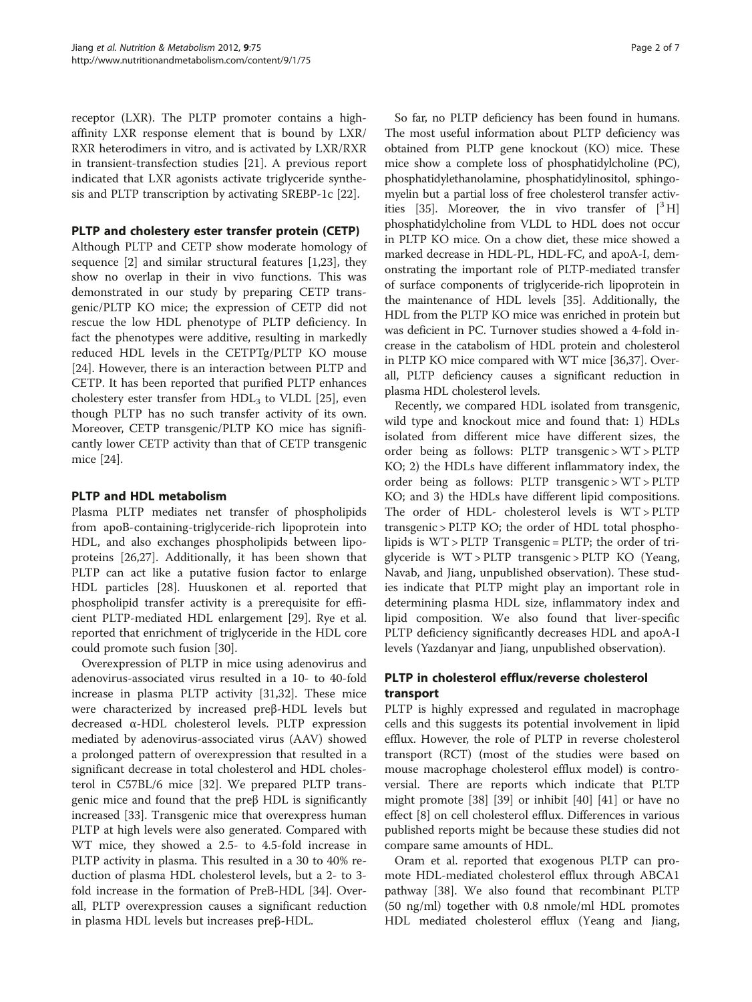receptor (LXR). The PLTP promoter contains a highaffinity LXR response element that is bound by LXR/ RXR heterodimers in vitro, and is activated by LXR/RXR in transient-transfection studies [\[21\]](#page-4-0). A previous report indicated that LXR agonists activate triglyceride synthesis and PLTP transcription by activating SREBP-1c [[22\]](#page-5-0).

### PLTP and cholestery ester transfer protein (CETP)

Although PLTP and CETP show moderate homology of sequence [\[2](#page-4-0)] and similar structural features [[1,](#page-4-0)[23\]](#page-5-0), they show no overlap in their in vivo functions. This was demonstrated in our study by preparing CETP transgenic/PLTP KO mice; the expression of CETP did not rescue the low HDL phenotype of PLTP deficiency. In fact the phenotypes were additive, resulting in markedly reduced HDL levels in the CETPTg/PLTP KO mouse [[24\]](#page-5-0). However, there is an interaction between PLTP and CETP. It has been reported that purified PLTP enhances cholestery ester transfer from  $HDL<sub>3</sub>$  to VLDL [\[25\]](#page-5-0), even though PLTP has no such transfer activity of its own. Moreover, CETP transgenic/PLTP KO mice has significantly lower CETP activity than that of CETP transgenic mice [\[24](#page-5-0)].

### PLTP and HDL metabolism

Plasma PLTP mediates net transfer of phospholipids from apoB-containing-triglyceride-rich lipoprotein into HDL, and also exchanges phospholipids between lipoproteins [\[26,27](#page-5-0)]. Additionally, it has been shown that PLTP can act like a putative fusion factor to enlarge HDL particles [[28](#page-5-0)]. Huuskonen et al. reported that phospholipid transfer activity is a prerequisite for efficient PLTP-mediated HDL enlargement [\[29\]](#page-5-0). Rye et al. reported that enrichment of triglyceride in the HDL core could promote such fusion [[30\]](#page-5-0).

Overexpression of PLTP in mice using adenovirus and adenovirus-associated virus resulted in a 10- to 40-fold increase in plasma PLTP activity [[31](#page-5-0),[32](#page-5-0)]. These mice were characterized by increased preβ-HDL levels but decreased α-HDL cholesterol levels. PLTP expression mediated by adenovirus-associated virus (AAV) showed a prolonged pattern of overexpression that resulted in a significant decrease in total cholesterol and HDL cholesterol in C57BL/6 mice [[32](#page-5-0)]. We prepared PLTP transgenic mice and found that the preβ HDL is significantly increased [[33](#page-5-0)]. Transgenic mice that overexpress human PLTP at high levels were also generated. Compared with WT mice, they showed a 2.5- to 4.5-fold increase in PLTP activity in plasma. This resulted in a 30 to 40% reduction of plasma HDL cholesterol levels, but a 2- to 3 fold increase in the formation of PreB-HDL [[34\]](#page-5-0). Overall, PLTP overexpression causes a significant reduction in plasma HDL levels but increases preβ-HDL.

So far, no PLTP deficiency has been found in humans. The most useful information about PLTP deficiency was obtained from PLTP gene knockout (KO) mice. These mice show a complete loss of phosphatidylcholine (PC), phosphatidylethanolamine, phosphatidylinositol, sphingomyelin but a partial loss of free cholesterol transfer activ-ities [\[35\]](#page-5-0). Moreover, the in vivo transfer of  $[{}^3H]$ phosphatidylcholine from VLDL to HDL does not occur in PLTP KO mice. On a chow diet, these mice showed a marked decrease in HDL-PL, HDL-FC, and apoA-I, demonstrating the important role of PLTP-mediated transfer of surface components of triglyceride-rich lipoprotein in the maintenance of HDL levels [\[35\]](#page-5-0). Additionally, the HDL from the PLTP KO mice was enriched in protein but was deficient in PC. Turnover studies showed a 4-fold increase in the catabolism of HDL protein and cholesterol in PLTP KO mice compared with WT mice [\[36,37](#page-5-0)]. Overall, PLTP deficiency causes a significant reduction in plasma HDL cholesterol levels.

Recently, we compared HDL isolated from transgenic, wild type and knockout mice and found that: 1) HDLs isolated from different mice have different sizes, the order being as follows: PLTP transgenic > WT > PLTP KO; 2) the HDLs have different inflammatory index, the order being as follows: PLTP transgenic > WT > PLTP KO; and 3) the HDLs have different lipid compositions. The order of HDL- cholesterol levels is WT > PLTP transgenic > PLTP KO; the order of HDL total phospholipids is WT > PLTP Transgenic = PLTP; the order of triglyceride is WT > PLTP transgenic > PLTP KO (Yeang, Navab, and Jiang, unpublished observation). These studies indicate that PLTP might play an important role in determining plasma HDL size, inflammatory index and lipid composition. We also found that liver-specific PLTP deficiency significantly decreases HDL and apoA-I levels (Yazdanyar and Jiang, unpublished observation).

# PLTP in cholesterol efflux/reverse cholesterol transport

PLTP is highly expressed and regulated in macrophage cells and this suggests its potential involvement in lipid efflux. However, the role of PLTP in reverse cholesterol transport (RCT) (most of the studies were based on mouse macrophage cholesterol efflux model) is controversial. There are reports which indicate that PLTP might promote [\[38\]](#page-5-0) [[39\]](#page-5-0) or inhibit [[40\]](#page-5-0) [[41](#page-5-0)] or have no effect [[8\]](#page-4-0) on cell cholesterol efflux. Differences in various published reports might be because these studies did not compare same amounts of HDL.

Oram et al. reported that exogenous PLTP can promote HDL-mediated cholesterol efflux through ABCA1 pathway [[38\]](#page-5-0). We also found that recombinant PLTP (50 ng/ml) together with 0.8 nmole/ml HDL promotes HDL mediated cholesterol efflux (Yeang and Jiang,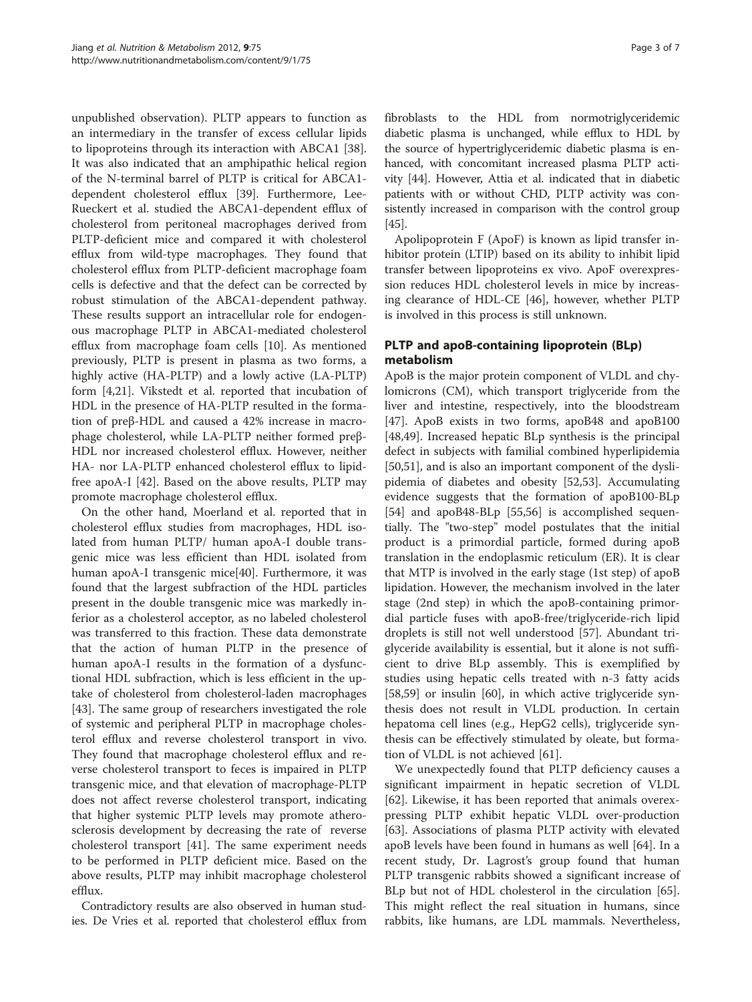unpublished observation). PLTP appears to function as an intermediary in the transfer of excess cellular lipids to lipoproteins through its interaction with ABCA1 [\[38](#page-5-0)]. It was also indicated that an amphipathic helical region of the N-terminal barrel of PLTP is critical for ABCA1 dependent cholesterol efflux [[39\]](#page-5-0). Furthermore, Lee-Rueckert et al. studied the ABCA1-dependent efflux of cholesterol from peritoneal macrophages derived from PLTP-deficient mice and compared it with cholesterol efflux from wild-type macrophages. They found that cholesterol efflux from PLTP-deficient macrophage foam cells is defective and that the defect can be corrected by robust stimulation of the ABCA1-dependent pathway. These results support an intracellular role for endogenous macrophage PLTP in ABCA1-mediated cholesterol efflux from macrophage foam cells [\[10\]](#page-4-0). As mentioned previously, PLTP is present in plasma as two forms, a highly active (HA-PLTP) and a lowly active (LA-PLTP) form [\[4,21\]](#page-4-0). Vikstedt et al. reported that incubation of HDL in the presence of HA-PLTP resulted in the formation of preβ-HDL and caused a 42% increase in macrophage cholesterol, while LA-PLTP neither formed preβ-HDL nor increased cholesterol efflux. However, neither HA- nor LA-PLTP enhanced cholesterol efflux to lipidfree apoA-I [[42\]](#page-5-0). Based on the above results, PLTP may promote macrophage cholesterol efflux.

On the other hand, Moerland et al. reported that in cholesterol efflux studies from macrophages, HDL isolated from human PLTP/ human apoA-I double transgenic mice was less efficient than HDL isolated from human apoA-I transgenic mice[\[40](#page-5-0)]. Furthermore, it was found that the largest subfraction of the HDL particles present in the double transgenic mice was markedly inferior as a cholesterol acceptor, as no labeled cholesterol was transferred to this fraction. These data demonstrate that the action of human PLTP in the presence of human apoA-I results in the formation of a dysfunctional HDL subfraction, which is less efficient in the uptake of cholesterol from cholesterol-laden macrophages [[43\]](#page-5-0). The same group of researchers investigated the role of systemic and peripheral PLTP in macrophage cholesterol efflux and reverse cholesterol transport in vivo. They found that macrophage cholesterol efflux and reverse cholesterol transport to feces is impaired in PLTP transgenic mice, and that elevation of macrophage-PLTP does not affect reverse cholesterol transport, indicating that higher systemic PLTP levels may promote atherosclerosis development by decreasing the rate of reverse cholesterol transport [\[41\]](#page-5-0). The same experiment needs to be performed in PLTP deficient mice. Based on the above results, PLTP may inhibit macrophage cholesterol efflux.

Contradictory results are also observed in human studies. De Vries et al. reported that cholesterol efflux from fibroblasts to the HDL from normotriglyceridemic diabetic plasma is unchanged, while efflux to HDL by the source of hypertriglyceridemic diabetic plasma is enhanced, with concomitant increased plasma PLTP activity [\[44\]](#page-5-0). However, Attia et al. indicated that in diabetic patients with or without CHD, PLTP activity was consistently increased in comparison with the control group [[45](#page-5-0)].

Apolipoprotein F (ApoF) is known as lipid transfer inhibitor protein (LTIP) based on its ability to inhibit lipid transfer between lipoproteins ex vivo. ApoF overexpression reduces HDL cholesterol levels in mice by increasing clearance of HDL-CE [[46](#page-5-0)], however, whether PLTP is involved in this process is still unknown.

# PLTP and apoB-containing lipoprotein (BLp) metabolism

ApoB is the major protein component of VLDL and chylomicrons (CM), which transport triglyceride from the liver and intestine, respectively, into the bloodstream [[47\]](#page-5-0). ApoB exists in two forms, apoB48 and apoB100 [[48,49\]](#page-5-0). Increased hepatic BLp synthesis is the principal defect in subjects with familial combined hyperlipidemia [[50,51\]](#page-5-0), and is also an important component of the dyslipidemia of diabetes and obesity [\[52,53](#page-5-0)]. Accumulating evidence suggests that the formation of apoB100-BLp [[54\]](#page-5-0) and apoB48-BLp [[55](#page-5-0),[56](#page-5-0)] is accomplished sequentially. The "two-step" model postulates that the initial product is a primordial particle, formed during apoB translation in the endoplasmic reticulum (ER). It is clear that MTP is involved in the early stage (1st step) of apoB lipidation. However, the mechanism involved in the later stage (2nd step) in which the apoB-containing primordial particle fuses with apoB-free/triglyceride-rich lipid droplets is still not well understood [[57\]](#page-5-0). Abundant triglyceride availability is essential, but it alone is not sufficient to drive BLp assembly. This is exemplified by studies using hepatic cells treated with n-3 fatty acids [[58,59\]](#page-5-0) or insulin [[60](#page-6-0)], in which active triglyceride synthesis does not result in VLDL production. In certain hepatoma cell lines (e.g., HepG2 cells), triglyceride synthesis can be effectively stimulated by oleate, but formation of VLDL is not achieved [\[61\]](#page-6-0).

We unexpectedly found that PLTP deficiency causes a significant impairment in hepatic secretion of VLDL [[62\]](#page-6-0). Likewise, it has been reported that animals overexpressing PLTP exhibit hepatic VLDL over-production [[63\]](#page-6-0). Associations of plasma PLTP activity with elevated apoB levels have been found in humans as well [\[64](#page-6-0)]. In a recent study, Dr. Lagrost's group found that human PLTP transgenic rabbits showed a significant increase of BLp but not of HDL cholesterol in the circulation [\[65](#page-6-0)]. This might reflect the real situation in humans, since rabbits, like humans, are LDL mammals. Nevertheless,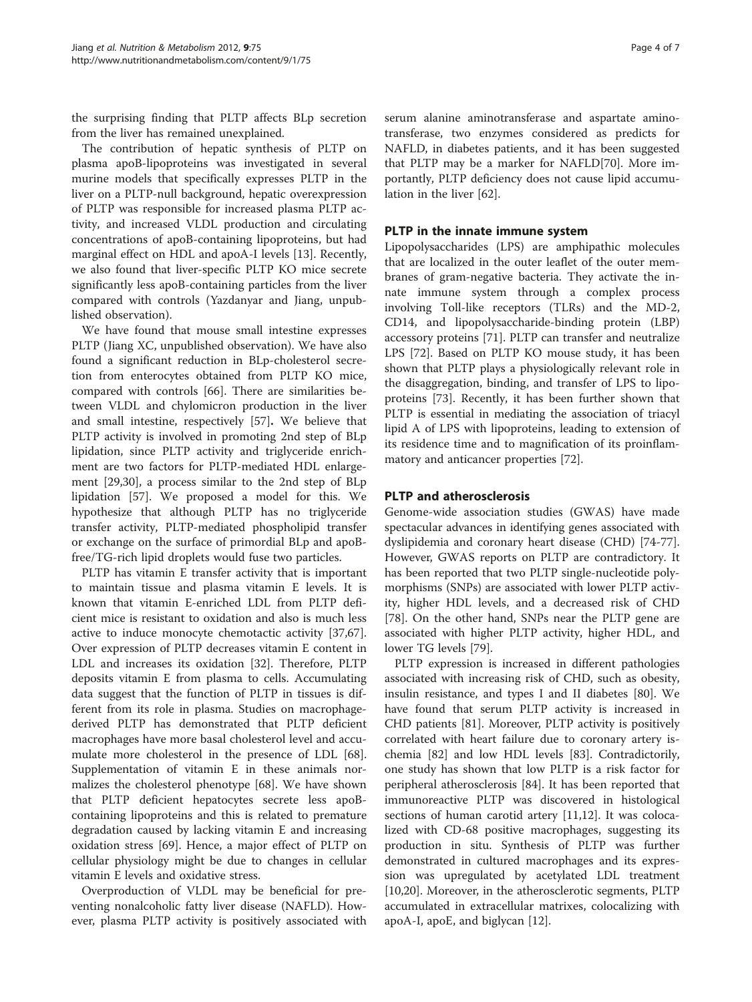the surprising finding that PLTP affects BLp secretion from the liver has remained unexplained.

The contribution of hepatic synthesis of PLTP on plasma apoB-lipoproteins was investigated in several murine models that specifically expresses PLTP in the liver on a PLTP-null background, hepatic overexpression of PLTP was responsible for increased plasma PLTP activity, and increased VLDL production and circulating concentrations of apoB-containing lipoproteins, but had marginal effect on HDL and apoA-I levels [\[13](#page-4-0)]. Recently, we also found that liver-specific PLTP KO mice secrete significantly less apoB-containing particles from the liver compared with controls (Yazdanyar and Jiang, unpublished observation).

We have found that mouse small intestine expresses PLTP (Jiang XC, unpublished observation). We have also found a significant reduction in BLp-cholesterol secretion from enterocytes obtained from PLTP KO mice, compared with controls [\[66](#page-6-0)]. There are similarities between VLDL and chylomicron production in the liver and small intestine, respectively [\[57](#page-5-0)]. We believe that PLTP activity is involved in promoting 2nd step of BLp lipidation, since PLTP activity and triglyceride enrichment are two factors for PLTP-mediated HDL enlargement [\[29,30\]](#page-5-0), a process similar to the 2nd step of BLp lipidation [\[57\]](#page-5-0). We proposed a model for this. We hypothesize that although PLTP has no triglyceride transfer activity, PLTP-mediated phospholipid transfer or exchange on the surface of primordial BLp and apoBfree/TG-rich lipid droplets would fuse two particles.

PLTP has vitamin E transfer activity that is important to maintain tissue and plasma vitamin E levels. It is known that vitamin E-enriched LDL from PLTP deficient mice is resistant to oxidation and also is much less active to induce monocyte chemotactic activity [\[37](#page-5-0)[,67](#page-6-0)]. Over expression of PLTP decreases vitamin E content in LDL and increases its oxidation [\[32](#page-5-0)]. Therefore, PLTP deposits vitamin E from plasma to cells. Accumulating data suggest that the function of PLTP in tissues is different from its role in plasma. Studies on macrophagederived PLTP has demonstrated that PLTP deficient macrophages have more basal cholesterol level and accumulate more cholesterol in the presence of LDL [\[68](#page-6-0)]. Supplementation of vitamin E in these animals normalizes the cholesterol phenotype [[68\]](#page-6-0). We have shown that PLTP deficient hepatocytes secrete less apoBcontaining lipoproteins and this is related to premature degradation caused by lacking vitamin E and increasing oxidation stress [[69](#page-6-0)]. Hence, a major effect of PLTP on cellular physiology might be due to changes in cellular vitamin E levels and oxidative stress.

Overproduction of VLDL may be beneficial for preventing nonalcoholic fatty liver disease (NAFLD). However, plasma PLTP activity is positively associated with

serum alanine aminotransferase and aspartate aminotransferase, two enzymes considered as predicts for NAFLD, in diabetes patients, and it has been suggested that PLTP may be a marker for NAFLD[[70\]](#page-6-0). More importantly, PLTP deficiency does not cause lipid accumulation in the liver [\[62](#page-6-0)].

#### PLTP in the innate immune system

Lipopolysaccharides (LPS) are amphipathic molecules that are localized in the outer leaflet of the outer membranes of gram-negative bacteria. They activate the innate immune system through a complex process involving Toll-like receptors (TLRs) and the MD-2, CD14, and lipopolysaccharide-binding protein (LBP) accessory proteins [[71](#page-6-0)]. PLTP can transfer and neutralize LPS [[72\]](#page-6-0). Based on PLTP KO mouse study, it has been shown that PLTP plays a physiologically relevant role in the disaggregation, binding, and transfer of LPS to lipoproteins [[73\]](#page-6-0). Recently, it has been further shown that PLTP is essential in mediating the association of triacyl lipid A of LPS with lipoproteins, leading to extension of its residence time and to magnification of its proinflammatory and anticancer properties [\[72\]](#page-6-0).

#### PLTP and atherosclerosis

Genome-wide association studies (GWAS) have made spectacular advances in identifying genes associated with dyslipidemia and coronary heart disease (CHD) [\[74-77](#page-6-0)]. However, GWAS reports on PLTP are contradictory. It has been reported that two PLTP single-nucleotide polymorphisms (SNPs) are associated with lower PLTP activity, higher HDL levels, and a decreased risk of CHD [[78\]](#page-6-0). On the other hand, SNPs near the PLTP gene are associated with higher PLTP activity, higher HDL, and lower TG levels [\[79](#page-6-0)].

PLTP expression is increased in different pathologies associated with increasing risk of CHD, such as obesity, insulin resistance, and types I and II diabetes [[80\]](#page-6-0). We have found that serum PLTP activity is increased in CHD patients [[81](#page-6-0)]. Moreover, PLTP activity is positively correlated with heart failure due to coronary artery ischemia [[82\]](#page-6-0) and low HDL levels [\[83](#page-6-0)]. Contradictorily, one study has shown that low PLTP is a risk factor for peripheral atherosclerosis [\[84](#page-6-0)]. It has been reported that immunoreactive PLTP was discovered in histological sections of human carotid artery [[11,12\]](#page-4-0). It was colocalized with CD-68 positive macrophages, suggesting its production in situ. Synthesis of PLTP was further demonstrated in cultured macrophages and its expression was upregulated by acetylated LDL treatment [[10,20\]](#page-4-0). Moreover, in the atherosclerotic segments, PLTP accumulated in extracellular matrixes, colocalizing with apoA-I, apoE, and biglycan [[12](#page-4-0)].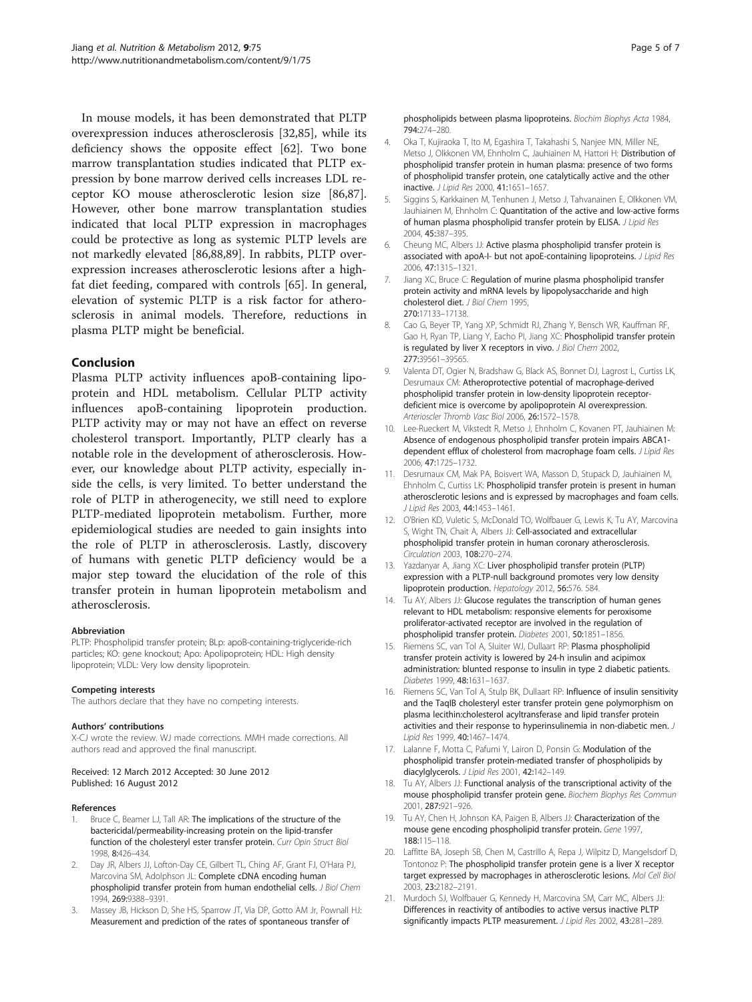<span id="page-4-0"></span>In mouse models, it has been demonstrated that PLTP overexpression induces atherosclerosis [\[32,](#page-5-0)[85\]](#page-6-0), while its deficiency shows the opposite effect [[62\]](#page-6-0). Two bone marrow transplantation studies indicated that PLTP expression by bone marrow derived cells increases LDL receptor KO mouse atherosclerotic lesion size [\[86,87](#page-6-0)]. However, other bone marrow transplantation studies indicated that local PLTP expression in macrophages could be protective as long as systemic PLTP levels are not markedly elevated [\[86,88,89\]](#page-6-0). In rabbits, PLTP overexpression increases atherosclerotic lesions after a highfat diet feeding, compared with controls [[65](#page-6-0)]. In general, elevation of systemic PLTP is a risk factor for atherosclerosis in animal models. Therefore, reductions in plasma PLTP might be beneficial.

### Conclusion

Plasma PLTP activity influences apoB-containing lipoprotein and HDL metabolism. Cellular PLTP activity influences apoB-containing lipoprotein production. PLTP activity may or may not have an effect on reverse cholesterol transport. Importantly, PLTP clearly has a notable role in the development of atherosclerosis. However, our knowledge about PLTP activity, especially inside the cells, is very limited. To better understand the role of PLTP in atherogenecity, we still need to explore PLTP-mediated lipoprotein metabolism. Further, more epidemiological studies are needed to gain insights into the role of PLTP in atherosclerosis. Lastly, discovery of humans with genetic PLTP deficiency would be a major step toward the elucidation of the role of this transfer protein in human lipoprotein metabolism and atherosclerosis.

PLTP: Phospholipid transfer protein; BLp: apoB-containing-triglyceride-rich particles; KO: gene knockout; Apo: Apolipoprotein; HDL: High density lipoprotein; VLDL: Very low density lipoprotein.

**The authors declare that they have no competing interests.** 

**Authors' contributions**<br>X-CJ wrote the review. WJ made corrections. MMH made corrections. All authors read and approved the final manuscript.

#### Received: 12 March 2012 Accepted: 30 June 2012 Published: 16 August 2012

#### **References**

- 1. Bruce C, Beamer LJ, Tall AR: The implications of the structure of the bactericidal/permeability-increasing protein on the lipid-transfer function of the cholesteryl ester transfer protein. Curr Opin Struct Biol 1998, 8:426–434.
- Day JR, Albers JJ, Lofton-Day CE, Gilbert TL, Ching AF, Grant FJ, O'Hara PJ, Marcovina SM, Adolphson JL: Complete cDNA encoding human phospholipid transfer protein from human endothelial cells. J Biol Chem 1994, 269:9388–9391.
- 3. Massey JB, Hickson D, She HS, Sparrow JT, Via DP, Gotto AM Jr, Pownall HJ: Measurement and prediction of the rates of spontaneous transfer of

phospholipids between plasma lipoproteins. Biochim Biophys Acta 1984, 794:274–280.

- 4. Oka T, Kujiraoka T, Ito M, Egashira T, Takahashi S, Nanjee MN, Miller NE, Metso J, Olkkonen VM, Ehnholm C, Jauhiainen M, Hattori H: Distribution of phospholipid transfer protein in human plasma: presence of two forms of phospholipid transfer protein, one catalytically active and the other inactive. J Lipid Res 2000, 41:1651–1657.
- 5. Siggins S, Karkkainen M, Tenhunen J, Metso J, Tahvanainen E, Olkkonen VM, Jauhiainen M, Ehnholm C: Quantitation of the active and low-active forms of human plasma phospholipid transfer protein by ELISA. J Lipid Res 2004, 45:387–395.
- 6. Cheung MC, Albers JJ: Active plasma phospholipid transfer protein is associated with apoA-I- but not apoE-containing lipoproteins. J Lipid Res 2006, 47:1315–1321.
- Jiang XC, Bruce C: Regulation of murine plasma phospholipid transfer protein activity and mRNA levels by lipopolysaccharide and high cholesterol diet. J Biol Chem 1995, 270:17133–17138.
- 8. Cao G, Beyer TP, Yang XP, Schmidt RJ, Zhang Y, Bensch WR, Kauffman RF, Gao H, Ryan TP, Liang Y, Eacho PI, Jiang XC: Phospholipid transfer protein is regulated by liver X receptors in vivo. J Biol Chem 2002, 277:39561–39565.
- 9. Valenta DT, Ogier N, Bradshaw G, Black AS, Bonnet DJ, Lagrost L, Curtiss LK, Desrumaux CM: Atheroprotective potential of macrophage-derived phospholipid transfer protein in low-density lipoprotein receptordeficient mice is overcome by apolipoprotein AI overexpression. Arterioscler Thromb Vasc Biol 2006, 26:1572–1578.
- 10. Lee-Rueckert M, Vikstedt R, Metso J, Ehnholm C, Kovanen PT, Jauhiainen M: Absence of endogenous phospholipid transfer protein impairs ABCA1 dependent efflux of cholesterol from macrophage foam cells. J Lipid Res 2006, 47:1725–1732.
- 11. Desrumaux CM, Mak PA, Boisvert WA, Masson D, Stupack D, Jauhiainen M, Ehnholm C, Curtiss LK: Phospholipid transfer protein is present in human atherosclerotic lesions and is expressed by macrophages and foam cells. J Lipid Res 2003, 44:1453–1461.
- 12. O'Brien KD, Vuletic S, McDonald TO, Wolfbauer G, Lewis K, Tu AY, Marcovina S, Wight TN, Chait A, Albers JJ: Cell-associated and extracellular phospholipid transfer protein in human coronary atherosclerosis. Circulation 2003, 108:270–274.
- 13. Yazdanyar A, Jiang XC: Liver phospholipid transfer protein (PLTP) expression with a PLTP-null background promotes very low density lipoprotein production. Hepatology 2012, 56:576. 584.
- 14. Tu AY, Albers JJ: Glucose regulates the transcription of human genes relevant to HDL metabolism: responsive elements for peroxisome proliferator-activated receptor are involved in the regulation of phospholipid transfer protein. Diabetes 2001, 50:1851–1856.
- 15. Riemens SC, van Tol A, Sluiter WJ, Dullaart RP: Plasma phospholipid transfer protein activity is lowered by 24-h insulin and acipimox administration: blunted response to insulin in type 2 diabetic patients. Diabetes 1999, 48:1631–1637.
- 16. Riemens SC, Van Tol A, Stulp BK, Dullaart RP: Influence of insulin sensitivity and the TaqIB cholesteryl ester transfer protein gene polymorphism on plasma lecithin:cholesterol acyltransferase and lipid transfer protein activities and their response to hyperinsulinemia in non-diabetic men. J Lipid Res 1999, 40:1467–1474.
- 17. Lalanne F, Motta C, Pafumi Y, Lairon D, Ponsin G: Modulation of the phospholipid transfer protein-mediated transfer of phospholipids by diacylglycerols. J Lipid Res 2001, 42:142–149.
- 18. Tu AY, Albers JJ: Functional analysis of the transcriptional activity of the mouse phospholipid transfer protein gene. Biochem Biophys Res Commun 2001, 287:921–926.
- 19. Tu AY, Chen H, Johnson KA, Paigen B, Albers JJ: Characterization of the mouse gene encoding phospholipid transfer protein. Gene 1997, 188:115–118.
- 20. Laffitte BA, Joseph SB, Chen M, Castrillo A, Repa J, Wilpitz D, Mangelsdorf D, Tontonoz P: The phospholipid transfer protein gene is a liver X receptor target expressed by macrophages in atherosclerotic lesions. Mol Cell Biol 2003, 23:2182–2191.
- 21. Murdoch SJ, Wolfbauer G, Kennedy H, Marcovina SM, Carr MC, Albers JJ: Differences in reactivity of antibodies to active versus inactive PLTP significantly impacts PLTP measurement. J Lipid Res 2002, 43:281-289.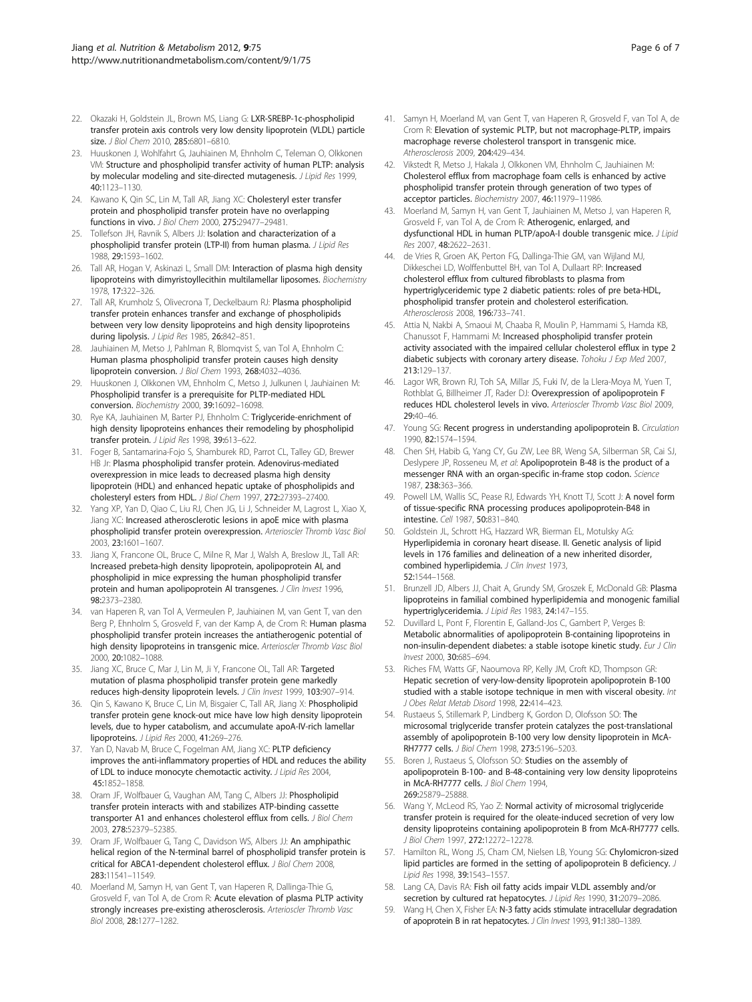- <span id="page-5-0"></span>22. Okazaki H, Goldstein JL, Brown MS, Liang G: LXR-SREBP-1c-phospholipid transfer protein axis controls very low density lipoprotein (VLDL) particle size. J Biol Chem 2010, 285:6801-6810.
- 23. Huuskonen J, Wohlfahrt G, Jauhiainen M, Ehnholm C, Teleman O, Olkkonen VM: Structure and phospholipid transfer activity of human PLTP: analysis by molecular modeling and site-directed mutagenesis. J Lipid Res 1999, 40:1123–1130.
- 24. Kawano K, Qin SC, Lin M, Tall AR, Jiang XC: Cholesteryl ester transfer protein and phospholipid transfer protein have no overlapping functions in vivo. J Biol Chem 2000, 275:29477–29481.
- 25. Tollefson JH, Ravnik S, Albers JJ: Isolation and characterization of a phospholipid transfer protein (LTP-II) from human plasma. J Lipid Res 1988, 29:1593–1602.
- 26. Tall AR, Hogan V, Askinazi L, Small DM: Interaction of plasma high density lipoproteins with dimyristoyllecithin multilamellar liposomes. Biochemistry 1978, 17:322–326.
- 27. Tall AR, Krumholz S, Olivecrona T, Deckelbaum RJ: Plasma phospholipid transfer protein enhances transfer and exchange of phospholipids between very low density lipoproteins and high density lipoproteins during lipolysis. J Lipid Res 1985, 26:842-851.
- 28. Jauhiainen M, Metso J, Pahlman R, Blomqvist S, van Tol A, Ehnholm C: Human plasma phospholipid transfer protein causes high density lipoprotein conversion. J Biol Chem 1993, 268:4032–4036.
- 29. Huuskonen J, Olkkonen VM, Ehnholm C, Metso J, Julkunen I, Jauhiainen M: Phospholipid transfer is a prerequisite for PLTP-mediated HDL conversion. Biochemistry 2000, 39:16092–16098.
- 30. Rye KA, Jauhiainen M, Barter PJ, Ehnholm C: Triglyceride-enrichment of high density lipoproteins enhances their remodeling by phospholipid transfer protein. J Lipid Res 1998, 39:613-622.
- 31. Foger B, Santamarina-Fojo S, Shamburek RD, Parrot CL, Talley GD, Brewer HB Jr: Plasma phospholipid transfer protein. Adenovirus-mediated overexpression in mice leads to decreased plasma high density lipoprotein (HDL) and enhanced hepatic uptake of phospholipids and cholesteryl esters from HDL. J Biol Chem 1997, 272:27393–27400.
- 32. Yang XP, Yan D, Qiao C, Liu RJ, Chen JG, Li J, Schneider M, Lagrost L, Xiao X, Jiang XC: Increased atherosclerotic lesions in apoE mice with plasma phospholipid transfer protein overexpression. Arterioscler Thromb Vasc Biol 2003, 23:1601–1607.
- 33. Jiang X, Francone OL, Bruce C, Milne R, Mar J, Walsh A, Breslow JL, Tall AR: Increased prebeta-high density lipoprotein, apolipoprotein AI, and phospholipid in mice expressing the human phospholipid transfer protein and human apolipoprotein AI transgenes. J Clin Invest 1996, 98:2373–2380.
- 34. van Haperen R, van Tol A, Vermeulen P, Jauhiainen M, van Gent T, van den Berg P, Ehnholm S, Grosveld F, van der Kamp A, de Crom R: Human plasma phospholipid transfer protein increases the antiatherogenic potential of high density lipoproteins in transgenic mice. Arterioscler Thromb Vasc Biol 2000, 20:1082–1088.
- 35. Jiang XC, Bruce C, Mar J, Lin M, Ji Y, Francone OL, Tall AR: Targeted mutation of plasma phospholipid transfer protein gene markedly reduces high-density lipoprotein levels. J Clin Invest 1999, 103:907–914.
- 36. Qin S, Kawano K, Bruce C, Lin M, Bisgaier C, Tall AR, Jiang X: Phospholipid transfer protein gene knock-out mice have low high density lipoprotein levels, due to hyper catabolism, and accumulate apoA-IV-rich lamellar lipoproteins. J Lipid Res 2000, 41:269–276.
- 37. Yan D, Navab M, Bruce C, Fogelman AM, Jiang XC: PLTP deficiency improves the anti-inflammatory properties of HDL and reduces the ability of LDL to induce monocyte chemotactic activity. *J Lipid Res* 2004, 45:1852–1858.
- 38. Oram JF, Wolfbauer G, Vaughan AM, Tang C, Albers JJ: Phospholipid transfer protein interacts with and stabilizes ATP-binding cassette transporter A1 and enhances cholesterol efflux from cells. J Biol Chem 2003, 278:52379–52385.
- 39. Oram JF, Wolfbauer G, Tang C, Davidson WS, Albers JJ: An amphipathic helical region of the N-terminal barrel of phospholipid transfer protein is critical for ABCA1-dependent cholesterol efflux. J Biol Chem 2008, 283:11541–11549.
- 40. Moerland M, Samyn H, van Gent T, van Haperen R, Dallinga-Thie G, Grosveld F, van Tol A, de Crom R: Acute elevation of plasma PLTP activity strongly increases pre-existing atherosclerosis. Arterioscler Thromb Vasc Biol 2008, 28:1277–1282.
- 41. Samyn H, Moerland M, van Gent T, van Haperen R, Grosveld F, van Tol A, de Crom R: Elevation of systemic PLTP, but not macrophage-PLTP, impairs macrophage reverse cholesterol transport in transgenic mice. Atherosclerosis 2009, 204:429–434.
- 42. Vikstedt R, Metso J, Hakala J, Olkkonen VM, Ehnholm C, Jauhiainen M: Cholesterol efflux from macrophage foam cells is enhanced by active phospholipid transfer protein through generation of two types of acceptor particles. Biochemistry 2007, 46:11979-11986.
- 43. Moerland M, Samyn H, van Gent T, Jauhiainen M, Metso J, van Haperen R, Grosveld F, van Tol A, de Crom R: Atherogenic, enlarged, and dysfunctional HDL in human PLTP/apoA-I double transgenic mice. J Lipid Res 2007, 48:2622–2631.
- 44. de Vries R, Groen AK, Perton FG, Dallinga-Thie GM, van Wijland MJ, Dikkeschei LD, Wolffenbuttel BH, van Tol A, Dullaart RP: Increased cholesterol efflux from cultured fibroblasts to plasma from hypertriglyceridemic type 2 diabetic patients: roles of pre beta-HDL, phospholipid transfer protein and cholesterol esterification. Atherosclerosis 2008, 196:733–741.
- 45. Attia N, Nakbi A, Smaoui M, Chaaba R, Moulin P, Hammami S, Hamda KB, Chanussot F, Hammami M: Increased phospholipid transfer protein activity associated with the impaired cellular cholesterol efflux in type 2 diabetic subjects with coronary artery disease. Tohoku J Exp Med 2007, 213:129–137.
- 46. Lagor WR, Brown RJ, Toh SA, Millar JS, Fuki IV, de la Llera-Moya M, Yuen T, Rothblat G, Billheimer JT, Rader DJ: Overexpression of apolipoprotein F reduces HDL cholesterol levels in vivo. Arterioscler Thromb Vasc Biol 2009, 29:40–46.
- 47. Young SG: Recent progress in understanding apolipoprotein B. Circulation 1990, 82:1574–1594.
- 48. Chen SH, Habib G, Yang CY, Gu ZW, Lee BR, Weng SA, Silberman SR, Cai SJ, Deslypere JP, Rosseneu M, et al: Apolipoprotein B-48 is the product of a messenger RNA with an organ-specific in-frame stop codon. Science 1987, 238:363–366.
- 49. Powell LM, Wallis SC, Pease RJ, Edwards YH, Knott TJ, Scott J: A novel form of tissue-specific RNA processing produces apolipoprotein-B48 in intestine. Cell 1987, 50:831–840.
- 50. Goldstein JL, Schrott HG, Hazzard WR, Bierman EL, Motulsky AG: Hyperlipidemia in coronary heart disease. II. Genetic analysis of lipid levels in 176 families and delineation of a new inherited disorder, combined hyperlipidemia. J Clin Invest 1973. 52:1544–1568.
- 51. Brunzell JD, Albers JJ, Chait A, Grundy SM, Groszek E, McDonald GB: Plasma lipoproteins in familial combined hyperlipidemia and monogenic familial hypertriglyceridemia. J Lipid Res 1983, 24:147–155.
- 52. Duvillard L, Pont F, Florentin E, Galland-Jos C, Gambert P, Verges B: Metabolic abnormalities of apolipoprotein B-containing lipoproteins in non-insulin-dependent diabetes: a stable isotope kinetic study. Eur J Clin Invest 2000, 30:685–694.
- 53. Riches FM, Watts GF, Naoumova RP, Kelly JM, Croft KD, Thompson GR: Hepatic secretion of very-low-density lipoprotein apolipoprotein B-100 studied with a stable isotope technique in men with visceral obesity. Int J Obes Relat Metab Disord 1998, 22:414–423.
- 54. Rustaeus S, Stillemark P, Lindberg K, Gordon D, Olofsson SO: The microsomal triglyceride transfer protein catalyzes the post-translational assembly of apolipoprotein B-100 very low density lipoprotein in McA-RH7777 cells. J Biol Chem 1998, 273:5196–5203.
- 55. Boren J, Rustaeus S, Olofsson SO: Studies on the assembly of apolipoprotein B-100- and B-48-containing very low density lipoproteins in McA-RH7777 cells. J Biol Chem 1994, 269:25879–25888.
- 56. Wang Y, McLeod RS, Yao Z: Normal activity of microsomal triglyceride transfer protein is required for the oleate-induced secretion of very low density lipoproteins containing apolipoprotein B from McA-RH7777 cells. J Biol Chem 1997, 272:12272–12278.
- 57. Hamilton RL, Wong JS, Cham CM, Nielsen LB, Young SG: Chylomicron-sized lipid particles are formed in the setting of apolipoprotein B deficiency. J Lipid Res 1998, 39:1543–1557.
- 58. Lang CA, Davis RA: Fish oil fatty acids impair VLDL assembly and/or secretion by cultured rat hepatocytes. J Lipid Res 1990, 31:2079-2086.
- 59. Wang H, Chen X, Fisher EA: N-3 fatty acids stimulate intracellular degradation of apoprotein B in rat hepatocytes. J Clin Invest 1993, 91:1380-1389.